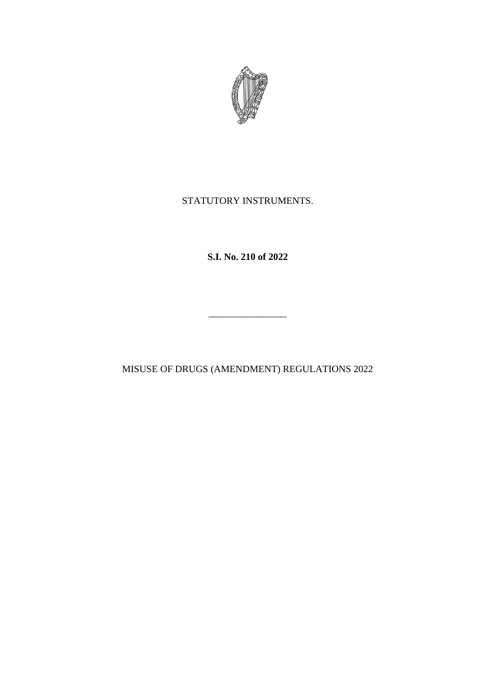

# STATUTORY INSTRUMENTS.

**S.I. No. 210 of 2022**

MISUSE OF DRUGS (AMENDMENT) REGULATIONS 2022

\_\_\_\_\_\_\_\_\_\_\_\_\_\_\_\_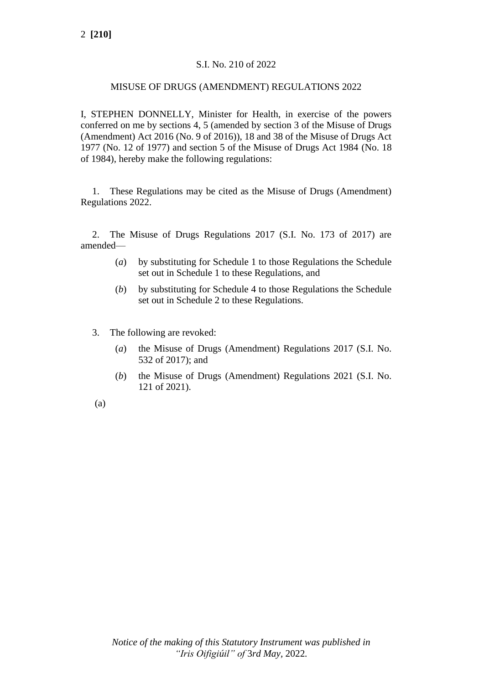# S.I. No. 210 of 2022

### MISUSE OF DRUGS (AMENDMENT) REGULATIONS 2022

I, STEPHEN DONNELLY, Minister for Health, in exercise of the powers conferred on me by sections 4, 5 (amended by section 3 of the Misuse of Drugs (Amendment) Act 2016 (No. 9 of 2016)), 18 and 38 of the Misuse of Drugs Act 1977 (No. 12 of 1977) and section 5 of the Misuse of Drugs Act 1984 (No. 18 of 1984), hereby make the following regulations:

1. These Regulations may be cited as the Misuse of Drugs (Amendment) Regulations 2022.

2. The Misuse of Drugs Regulations 2017 (S.I. No. 173 of 2017) are amended—

- (*a*) by substituting for Schedule 1 to those Regulations the Schedule set out in Schedule 1 to these Regulations, and
- (*b*) by substituting for Schedule 4 to those Regulations the Schedule set out in Schedule 2 to these Regulations.
- 3. The following are revoked:
	- (*a*) the Misuse of Drugs (Amendment) Regulations 2017 (S.I. No. 532 of 2017); and
	- (*b*) the Misuse of Drugs (Amendment) Regulations 2021 (S.I. No. 121 of 2021).

(a)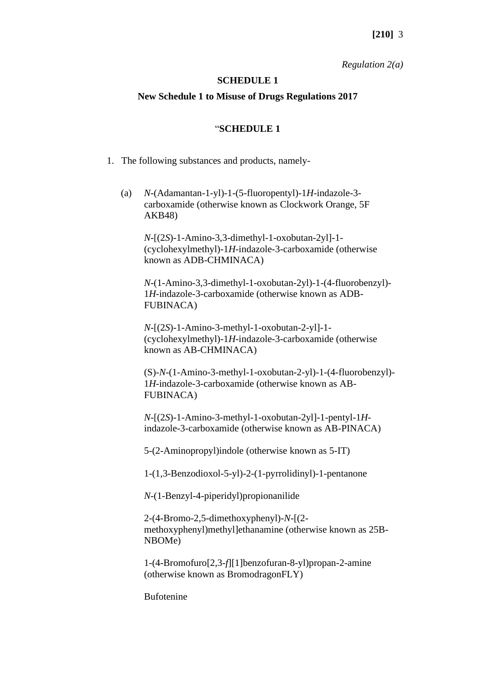#### *Regulation 2(a)*

#### **SCHEDULE 1**

# **New Schedule 1 to Misuse of Drugs Regulations 2017**

#### "**SCHEDULE 1**

- 1. The following substances and products, namely-
	- (a) *N*-(Adamantan-1-yl)-1-(5-fluoropentyl)-1*H*-indazole-3 carboxamide (otherwise known as Clockwork Orange, 5F AKB48)

*N*-[(2*S*)-1-Amino-3,3-dimethyl-1-oxobutan-2yl]-1- (cyclohexylmethyl)-1*H*-indazole-3-carboxamide (otherwise known as ADB-CHMINACA)

*N*-(1-Amino-3,3-dimethyl-1-oxobutan-2yl)-1-(4-fluorobenzyl)- 1*H-*indazole-3-carboxamide (otherwise known as ADB-FUBINACA)

*N*-[(2*S*)-1-Amino-3-methyl-1-oxobutan-2-yl]-1- (cyclohexylmethyl)-1*H*-indazole-3-carboxamide (otherwise known as AB-CHMINACA)

(S)-*N*-(1-Amino-3-methyl-1-oxobutan-2-yl)-1-(4-fluorobenzyl)- 1*H*-indazole-3-carboxamide (otherwise known as AB-FUBINACA)

*N*-[(2*S*)-1-Amino-3-methyl-1-oxobutan-2yl]-1-pentyl-1*H*indazole-3-carboxamide (otherwise known as AB-PINACA)

5-(2-Aminopropyl)indole (otherwise known as 5-IT)

1-(1,3-Benzodioxol-5-yl)-2-(1-pyrrolidinyl)-1-pentanone

*N*-(1-Benzyl-4-piperidyl)propionanilide

2-(4-Bromo-2,5-dimethoxyphenyl)-*N*-[(2 methoxyphenyl)methyl]ethanamine (otherwise known as 25B-NBOMe)

1-(4-Bromofuro[2,3-*f*][1]benzofuran-8-yl)propan-2-amine (otherwise known as BromodragonFLY)

Bufotenine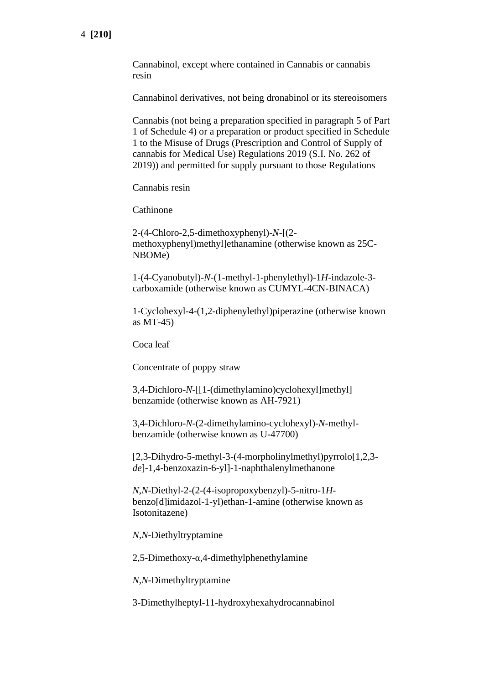Cannabinol, except where contained in Cannabis or cannabis resin

Cannabinol derivatives, not being dronabinol or its stereoisomers

Cannabis (not being a preparation specified in paragraph 5 of Part 1 of Schedule 4) or a preparation or product specified in Schedule 1 to the Misuse of Drugs (Prescription and Control of Supply of cannabis for Medical Use) Regulations 2019 (S.I. No. 262 of 2019)) and permitted for supply pursuant to those Regulations

Cannabis resin

Cathinone

2-(4-Chloro-2,5-dimethoxyphenyl)-*N*-[(2 methoxyphenyl)methyl]ethanamine (otherwise known as 25C-NBOMe)

1-(4-Cyanobutyl)-*N*-(1-methyl-1-phenylethyl)-1*H*-indazole-3 carboxamide (otherwise known as CUMYL-4CN-BINACA)

1-Cyclohexyl-4-(1,2-diphenylethyl)piperazine (otherwise known as MT-45)

Coca leaf

Concentrate of poppy straw

3,4-Dichloro-*N*-[[1-(dimethylamino)cyclohexyl]methyl] benzamide (otherwise known as AH-7921)

3,4-Dichloro-*N*-(2-dimethylamino-cyclohexyl)-*N*-methylbenzamide (otherwise known as U-47700)

[2,3-Dihydro-5-methyl-3-(4-morpholinylmethyl)pyrrolo[1,2,3 *de*]-1,4-benzoxazin-6-yl]-1-naphthalenylmethanone

*N*,*N*-Diethyl-2-(2-(4-isopropoxybenzyl)-5-nitro-1*H*benzo[d]imidazol-1-yl)ethan-1-amine (otherwise known as Isotonitazene)

*N*,*N*-Diethyltryptamine

2,5-Dimethoxy-α,4-dimethylphenethylamine

*N,N*-Dimethyltryptamine

3-Dimethylheptyl-11-hydroxyhexahydrocannabinol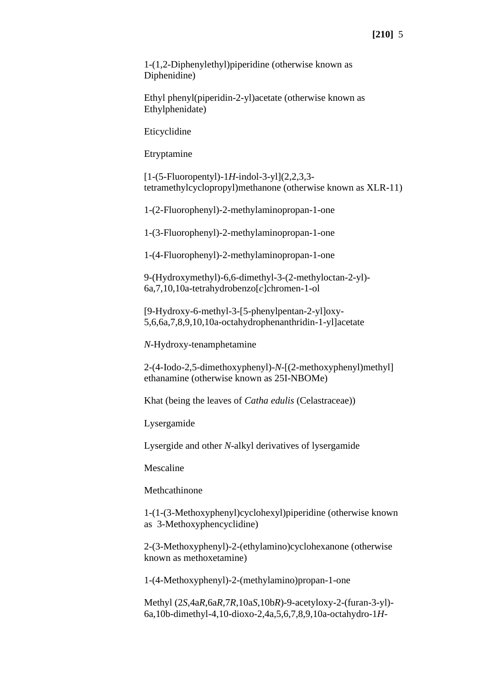1-(1,2-Diphenylethyl)piperidine (otherwise known as Diphenidine)

Ethyl phenyl(piperidin-2-yl)acetate (otherwise known as Ethylphenidate)

Eticyclidine

Etryptamine

[1-(5-Fluoropentyl)-1*H*-indol-3-yl](2,2,3,3 tetramethylcyclopropyl)methanone (otherwise known as XLR-11)

1-(2-Fluorophenyl)-2-methylaminopropan-1-one

1-(3-Fluorophenyl)-2-methylaminopropan-1-one

1-(4-Fluorophenyl)-2-methylaminopropan-1-one

9-(Hydroxymethyl)-6,6-dimethyl-3-(2-methyloctan-2-yl)- 6a,7,10,10a-tetrahydrobenzo[*c*]chromen-1-ol

[9-Hydroxy-6-methyl-3-[5-phenylpentan-2-yl]oxy-5,6,6a,7,8,9,10,10a-octahydrophenanthridin-1-yl]acetate

*N*-Hydroxy-tenamphetamine

2-(4-Iodo-2,5-dimethoxyphenyl)-*N*-[(2-methoxyphenyl)methyl] ethanamine (otherwise known as 25I-NBOMe)

Khat (being the leaves of *Catha edulis* (Celastraceae))

Lysergamide

Lysergide and other *N*-alkyl derivatives of lysergamide

Mescaline

Methcathinone

1-(1-(3-Methoxyphenyl)cyclohexyl)piperidine (otherwise known as 3-Methoxyphencyclidine)

2-(3-Methoxyphenyl)-2-(ethylamino)cyclohexanone (otherwise known as methoxetamine)

1-(4-Methoxyphenyl)-2-(methylamino)propan-1-one

Methyl (2*S*,4a*R*,6a*R*,7*R*,10a*S*,10b*R*)-9-acetyloxy-2-(furan-3-yl)- 6a,10b-dimethyl-4,10-dioxo-2,4a,5,6,7,8,9,10a-octahydro-1*H-*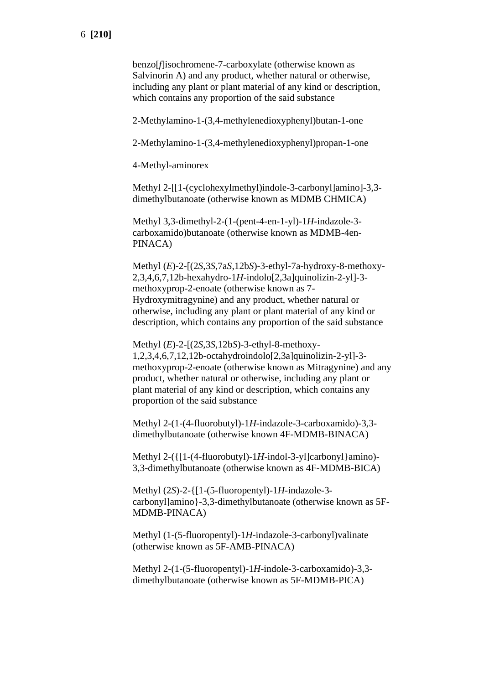benzo[*f*]isochromene-7-carboxylate (otherwise known as Salvinorin A) and any product, whether natural or otherwise, including any plant or plant material of any kind or description, which contains any proportion of the said substance

2-Methylamino-1-(3,4-methylenedioxyphenyl)butan-1-one

2-Methylamino-1-(3,4-methylenedioxyphenyl)propan-1-one

4-Methyl-aminorex

Methyl 2-[[1-(cyclohexylmethyl)indole-3-carbonyl]amino]-3,3 dimethylbutanoate (otherwise known as MDMB CHMICA)

Methyl 3,3-dimethyl-2-(1-(pent-4-en-1-yl)-1*H*-indazole-3 carboxamido)butanoate (otherwise known as MDMB-4en-PINACA)

Methyl (*E*)-2-[(2*S*,3*S*,7a*S*,12b*S*)-3-ethyl-7a-hydroxy-8-methoxy-2,3,4,6,7,12b-hexahydro-1*H*-indolo[2,3a]quinolizin-2-yl]-3 methoxyprop-2-enoate (otherwise known as 7- Hydroxymitragynine) and any product, whether natural or otherwise, including any plant or plant material of any kind or description, which contains any proportion of the said substance

Methyl (*E*)-2-[(2*S*,3*S*,12b*S*)-3-ethyl-8-methoxy-1,2,3,4,6,7,12,12b-octahydroindolo[2,3a]quinolizin-2-yl]-3 methoxyprop-2-enoate (otherwise known as Mitragynine) and any product, whether natural or otherwise, including any plant or plant material of any kind or description, which contains any proportion of the said substance

Methyl 2-(1-(4-fluorobutyl)-1*H*-indazole-3-carboxamido)-3,3 dimethylbutanoate (otherwise known 4F-MDMB-BINACA)

Methyl 2-({[1-(4-fluorobutyl)-1*H*-indol-3-yl]carbonyl}amino)- 3,3-dimethylbutanoate (otherwise known as 4F-MDMB-BICA)

Methyl (2*S*)-2-{[1-(5-fluoropentyl)-1*H-*indazole-3 carbonyl]amino}-3,3-dimethylbutanoate (otherwise known as 5F-MDMB-PINACA)

Methyl (1-(5-fluoropentyl)-1*H*-indazole-3-carbonyl)valinate (otherwise known as 5F-AMB-PINACA)

Methyl 2-(1-(5-fluoropentyl)-1*H*-indole-3-carboxamido)-3,3 dimethylbutanoate (otherwise known as 5F-MDMB-PICA)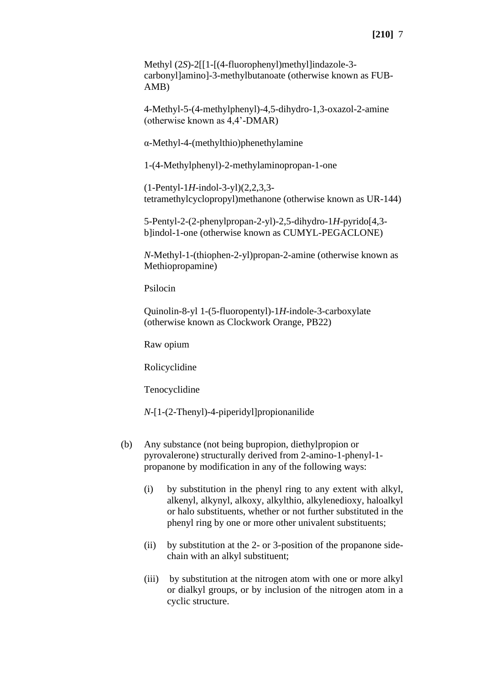Methyl (2*S*)-2[[1-[(4-fluorophenyl)methyl]indazole-3 carbonyl]amino]-3-methylbutanoate (otherwise known as FUB-AMB)

4-Methyl-5-(4-methylphenyl)-4,5-dihydro-1,3-oxazol-2-amine (otherwise known as 4,4'-DMAR)

α-Methyl-4-(methylthio)phenethylamine

1-(4-Methylphenyl)-2-methylaminopropan-1-one

(1-Pentyl-1*H*-indol-3-yl)(2,2,3,3 tetramethylcyclopropyl)methanone (otherwise known as UR-144)

5-Pentyl-2-(2-phenylpropan-2-yl)-2,5-dihydro-1*H*-pyrido[4,3 b]indol-1-one (otherwise known as CUMYL-PEGACLONE)

*N*-Methyl-1-(thiophen-2-yl)propan-2-amine (otherwise known as Methiopropamine)

Psilocin

Quinolin-8-yl 1-(5-fluoropentyl)-1*H*-indole-3-carboxylate (otherwise known as Clockwork Orange, PB22)

Raw opium

Rolicyclidine

Tenocyclidine

*N*-[1-(2-Thenyl)-4-piperidyl]propionanilide

- (b) Any substance (not being bupropion, diethylpropion or pyrovalerone) structurally derived from 2-amino-1-phenyl-1 propanone by modification in any of the following ways:
	- (i) by substitution in the phenyl ring to any extent with alkyl, alkenyl, alkynyl, alkoxy, alkylthio, alkylenedioxy, haloalkyl or halo substituents, whether or not further substituted in the phenyl ring by one or more other univalent substituents;
	- (ii) by substitution at the 2- or 3-position of the propanone sidechain with an alkyl substituent;
	- (iii) by substitution at the nitrogen atom with one or more alkyl or dialkyl groups, or by inclusion of the nitrogen atom in a cyclic structure.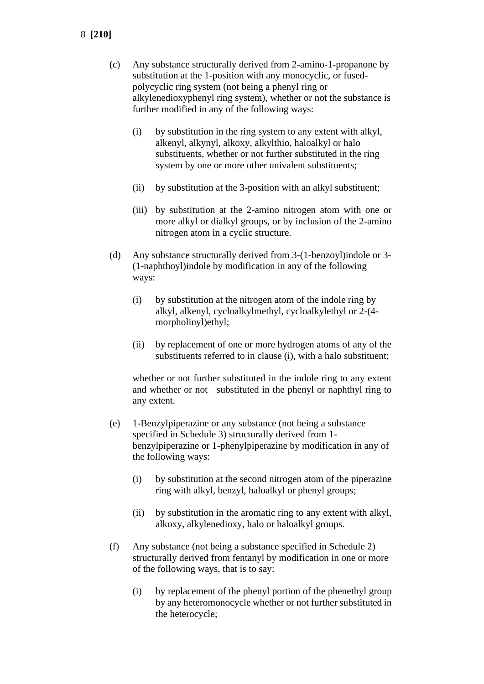- 8 **[210]**
	- (c) Any substance structurally derived from 2-amino-1-propanone by substitution at the 1-position with any monocyclic, or fusedpolycyclic ring system (not being a phenyl ring or alkylenedioxyphenyl ring system), whether or not the substance is further modified in any of the following ways:
		- (i) by substitution in the ring system to any extent with alkyl, alkenyl, alkynyl, alkoxy, alkylthio, haloalkyl or halo substituents, whether or not further substituted in the ring system by one or more other univalent substituents;
		- (ii) by substitution at the 3-position with an alkyl substituent;
		- (iii) by substitution at the 2-amino nitrogen atom with one or more alkyl or dialkyl groups, or by inclusion of the 2-amino nitrogen atom in a cyclic structure.
	- (d) Any substance structurally derived from 3-(1-benzoyl)indole or 3- (1-naphthoyl)indole by modification in any of the following ways:
		- (i) by substitution at the nitrogen atom of the indole ring by alkyl, alkenyl, cycloalkylmethyl, cycloalkylethyl or 2-(4 morpholinyl)ethyl;
		- (ii) by replacement of one or more hydrogen atoms of any of the substituents referred to in clause (i), with a halo substituent;

whether or not further substituted in the indole ring to any extent and whether or not substituted in the phenyl or naphthyl ring to any extent.

- (e) 1-Benzylpiperazine or any substance (not being a substance specified in Schedule 3) structurally derived from 1 benzylpiperazine or 1-phenylpiperazine by modification in any of the following ways:
	- (i) by substitution at the second nitrogen atom of the piperazine ring with alkyl, benzyl, haloalkyl or phenyl groups;
	- (ii) by substitution in the aromatic ring to any extent with alkyl, alkoxy, alkylenedioxy, halo or haloalkyl groups.
- (f) Any substance (not being a substance specified in Schedule 2) structurally derived from fentanyl by modification in one or more of the following ways, that is to say:
	- (i) by replacement of the phenyl portion of the phenethyl group by any heteromonocycle whether or not further substituted in the heterocycle;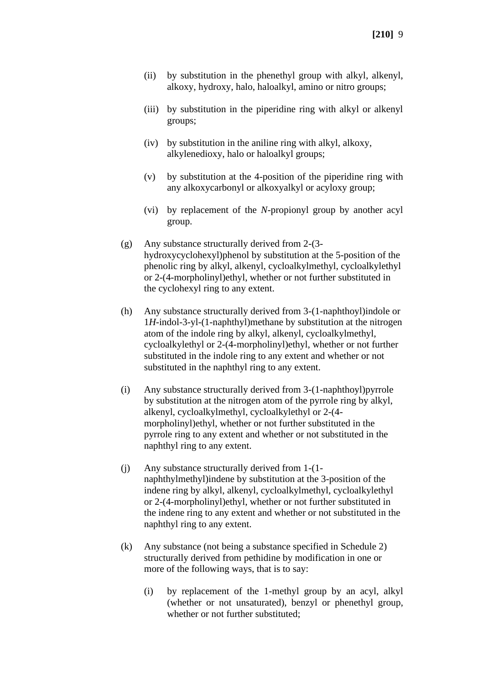- (ii) by substitution in the phenethyl group with alkyl, alkenyl, alkoxy, hydroxy, halo, haloalkyl, amino or nitro groups;
- (iii) by substitution in the piperidine ring with alkyl or alkenyl groups;
- (iv) by substitution in the aniline ring with alkyl, alkoxy, alkylenedioxy, halo or haloalkyl groups;
- (v) by substitution at the 4-position of the piperidine ring with any alkoxycarbonyl or alkoxyalkyl or acyloxy group;
- (vi) by replacement of the *N*-propionyl group by another acyl group.
- (g) Any substance structurally derived from 2-(3 hydroxycyclohexyl)phenol by substitution at the 5-position of the phenolic ring by alkyl, alkenyl, cycloalkylmethyl, cycloalkylethyl or 2-(4-morpholinyl)ethyl, whether or not further substituted in the cyclohexyl ring to any extent.
- (h) Any substance structurally derived from 3-(1-naphthoyl)indole or 1*H*-indol-3-yl-(1-naphthyl)methane by substitution at the nitrogen atom of the indole ring by alkyl, alkenyl, cycloalkylmethyl, cycloalkylethyl or 2-(4-morpholinyl)ethyl, whether or not further substituted in the indole ring to any extent and whether or not substituted in the naphthyl ring to any extent.
- (i) Any substance structurally derived from 3-(1-naphthoyl)pyrrole by substitution at the nitrogen atom of the pyrrole ring by alkyl, alkenyl, cycloalkylmethyl, cycloalkylethyl or 2-(4 morpholinyl)ethyl, whether or not further substituted in the pyrrole ring to any extent and whether or not substituted in the naphthyl ring to any extent.
- (j) Any substance structurally derived from 1-(1 naphthylmethyl)indene by substitution at the 3-position of the indene ring by alkyl, alkenyl, cycloalkylmethyl, cycloalkylethyl or 2-(4-morpholinyl)ethyl, whether or not further substituted in the indene ring to any extent and whether or not substituted in the naphthyl ring to any extent.
- (k) Any substance (not being a substance specified in Schedule 2) structurally derived from pethidine by modification in one or more of the following ways, that is to say:
	- (i) by replacement of the 1-methyl group by an acyl, alkyl (whether or not unsaturated), benzyl or phenethyl group, whether or not further substituted;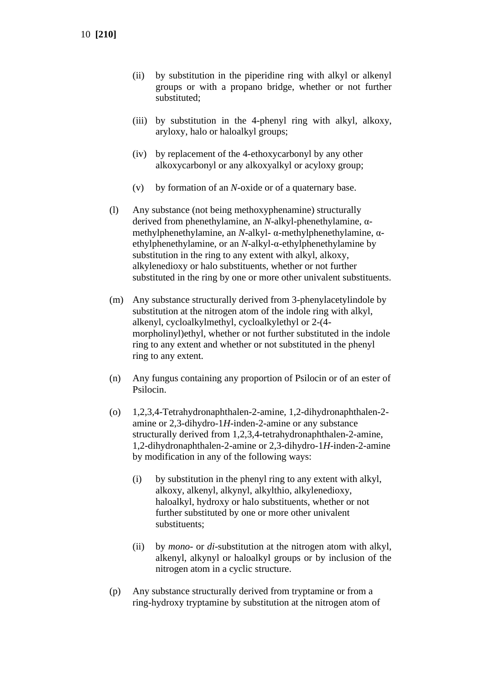- (ii) by substitution in the piperidine ring with alkyl or alkenyl groups or with a propano bridge, whether or not further substituted;
- (iii) by substitution in the 4-phenyl ring with alkyl, alkoxy, aryloxy, halo or haloalkyl groups;
- (iv) by replacement of the 4-ethoxycarbonyl by any other alkoxycarbonyl or any alkoxyalkyl or acyloxy group;
- (v) by formation of an *N*-oxide or of a quaternary base.
- (l) Any substance (not being methoxyphenamine) structurally derived from phenethylamine, an *N*-alkyl-phenethylamine, αmethylphenethylamine, an *N*-alkyl- α-methylphenethylamine, αethylphenethylamine, or an *N*-alkyl-α-ethylphenethylamine by substitution in the ring to any extent with alkyl, alkoxy, alkylenedioxy or halo substituents, whether or not further substituted in the ring by one or more other univalent substituents.
- (m) Any substance structurally derived from 3-phenylacetylindole by substitution at the nitrogen atom of the indole ring with alkyl, alkenyl, cycloalkylmethyl, cycloalkylethyl or 2-(4 morpholinyl)ethyl, whether or not further substituted in the indole ring to any extent and whether or not substituted in the phenyl ring to any extent.
- (n) Any fungus containing any proportion of Psilocin or of an ester of Psilocin.
- (o) 1,2,3,4-Tetrahydronaphthalen-2-amine, 1,2-dihydronaphthalen-2 amine or 2,3-dihydro-1*H*-inden-2-amine or any substance structurally derived from 1,2,3,4-tetrahydronaphthalen-2-amine, 1,2-dihydronaphthalen-2-amine or 2,3-dihydro-1*H*-inden-2-amine by modification in any of the following ways:
	- (i) by substitution in the phenyl ring to any extent with alkyl, alkoxy, alkenyl, alkynyl, alkylthio, alkylenedioxy, haloalkyl, hydroxy or halo substituents, whether or not further substituted by one or more other univalent substituents;
	- (ii) by *mono* or *di*-substitution at the nitrogen atom with alkyl, alkenyl, alkynyl or haloalkyl groups or by inclusion of the nitrogen atom in a cyclic structure.
- (p) Any substance structurally derived from tryptamine or from a ring-hydroxy tryptamine by substitution at the nitrogen atom of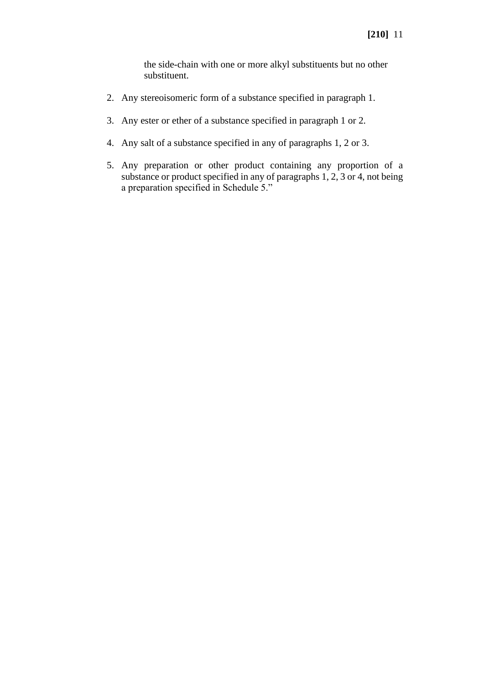the side-chain with one or more alkyl substituents but no other substituent.

- 2. Any stereoisomeric form of a substance specified in paragraph 1.
- 3. Any ester or ether of a substance specified in paragraph 1 or 2.
- 4. Any salt of a substance specified in any of paragraphs 1, 2 or 3.
- 5. Any preparation or other product containing any proportion of a substance or product specified in any of paragraphs 1, 2, 3 or 4, not being a preparation specified in Schedule 5."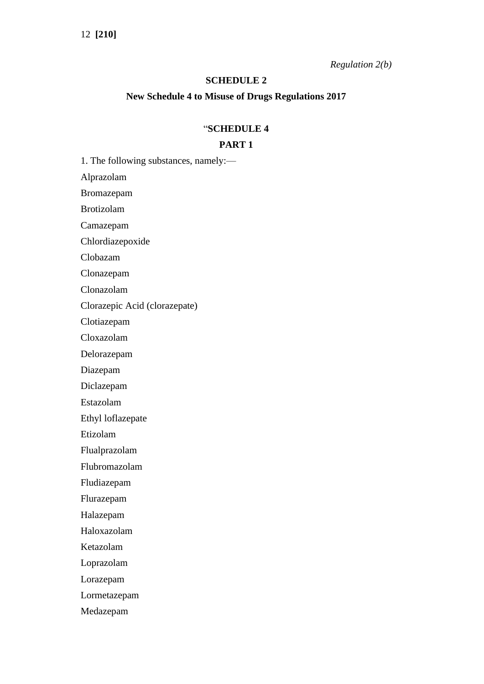*Regulation 2(b)*

## **SCHEDULE 2**

#### **New Schedule 4 to Misuse of Drugs Regulations 2017**

### "**SCHEDULE 4**

# **PART 1**

1. The following substances, namely:—

Alprazolam

Bromazepam

Brotizolam

Camazepam

Chlordiazepoxide

Clobazam

Clonazepam

Clonazolam

Clorazepic Acid (clorazepate)

Clotiazepam

Cloxazolam

Delorazepam

Diazepam

Diclazepam

Estazolam

Ethyl loflazepate

Etizolam

Flualprazolam

Flubromazolam

Fludiazepam

Flurazepam

Halazepam

Haloxazolam

Ketazolam

Loprazolam

Lorazepam

Lormetazepam

Medazepam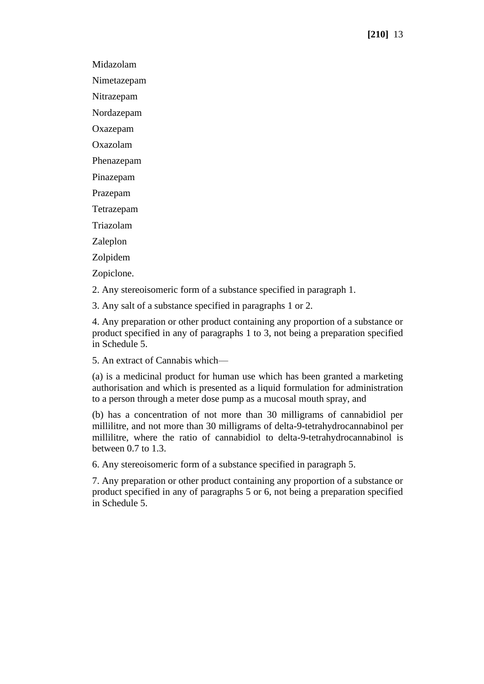Midazolam

Nimetazepam

Nitrazepam

Nordazepam

Oxazepam

Oxazolam

Phenazepam

Pinazepam

Prazepam

Tetrazepam

Triazolam

Zaleplon

Zolpidem

Zopiclone.

2. Any stereoisomeric form of a substance specified in paragraph 1.

3. Any salt of a substance specified in paragraphs 1 or 2.

4. Any preparation or other product containing any proportion of a substance or product specified in any of paragraphs 1 to 3, not being a preparation specified in Schedule 5.

5. An extract of Cannabis which—

(a) is a medicinal product for human use which has been granted a marketing authorisation and which is presented as a liquid formulation for administration to a person through a meter dose pump as a mucosal mouth spray, and

(b) has a concentration of not more than 30 milligrams of cannabidiol per millilitre, and not more than 30 milligrams of delta-9-tetrahydrocannabinol per millilitre, where the ratio of cannabidiol to delta-9-tetrahydrocannabinol is between 0.7 to 1.3.

6. Any stereoisomeric form of a substance specified in paragraph 5.

7. Any preparation or other product containing any proportion of a substance or product specified in any of paragraphs 5 or 6, not being a preparation specified in Schedule 5.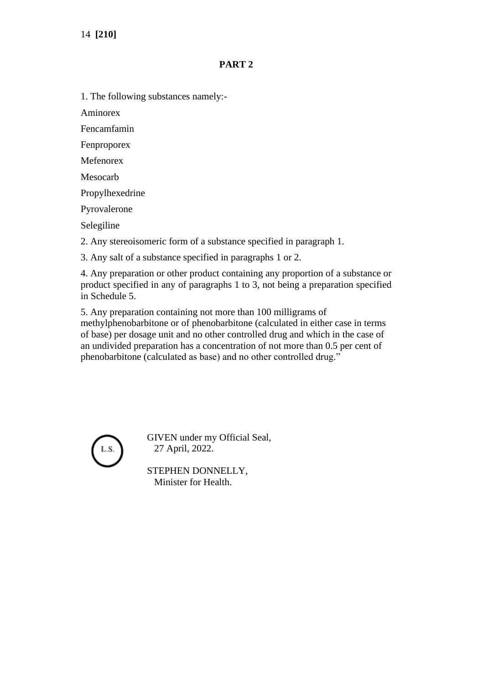14 **[210]**

# **PART 2**

1. The following substances namely:-

Aminorex

Fencamfamin

Fenproporex

Mefenorex

Mesocarb

Propylhexedrine

Pyrovalerone

Selegiline

2. Any stereoisomeric form of a substance specified in paragraph 1.

3. Any salt of a substance specified in paragraphs 1 or 2.

4. Any preparation or other product containing any proportion of a substance or product specified in any of paragraphs 1 to 3, not being a preparation specified in Schedule 5.

5. Any preparation containing not more than 100 milligrams of methylphenobarbitone or of phenobarbitone (calculated in either case in terms of base) per dosage unit and no other controlled drug and which in the case of an undivided preparation has a concentration of not more than 0.5 per cent of phenobarbitone (calculated as base) and no other controlled drug."



GIVEN under my Official Seal, 27 April, 2022.

STEPHEN DONNELLY, Minister for Health.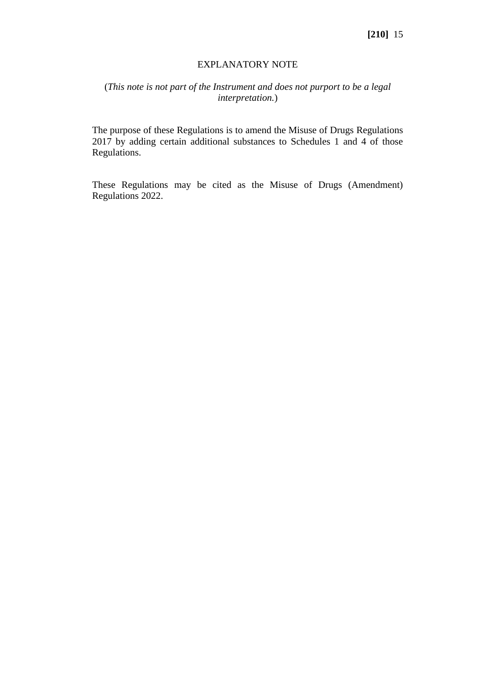### EXPLANATORY NOTE

# (*This note is not part of the Instrument and does not purport to be a legal interpretation.*)

The purpose of these Regulations is to amend the Misuse of Drugs Regulations 2017 by adding certain additional substances to Schedules 1 and 4 of those Regulations.

These Regulations may be cited as the Misuse of Drugs (Amendment) Regulations 2022.